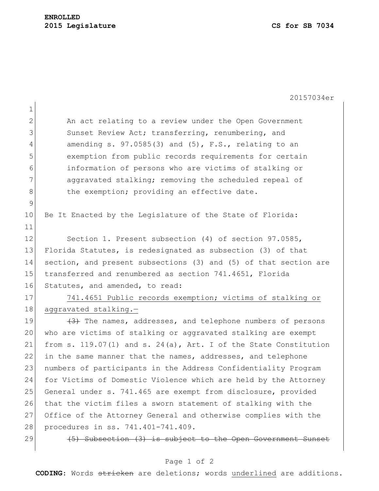|                | 20157034er                                                               |
|----------------|--------------------------------------------------------------------------|
| $\mathbf 1$    |                                                                          |
| 2              | An act relating to a review under the Open Government                    |
| 3              | Sunset Review Act; transferring, renumbering, and                        |
| $\overline{4}$ | amending $s. 97.0585(3)$ and $(5)$ , $F.S.,$ relating to an              |
| 5              | exemption from public records requirements for certain                   |
| 6              | information of persons who are victims of stalking or                    |
| 7              | aggravated stalking; removing the scheduled repeal of                    |
| 8              | the exemption; providing an effective date.                              |
| 9              |                                                                          |
| 10             | Be It Enacted by the Legislature of the State of Florida:                |
| 11             |                                                                          |
| 12             | Section 1. Present subsection (4) of section 97.0585,                    |
| 13             | Florida Statutes, is redesignated as subsection (3) of that              |
| 14             | section, and present subsections (3) and (5) of that section are         |
| 15             | transferred and renumbered as section 741.4651, Florida                  |
| 16             | Statutes, and amended, to read:                                          |
| 17             | 741.4651 Public records exemption; victims of stalking or                |
| 18             | aggravated stalking.-                                                    |
| 19             | $\overline{(+3)}$ The names, addresses, and telephone numbers of persons |
| 20             | who are victims of stalking or aggravated stalking are exempt            |
| 21             | from s. 119.07(1) and s. 24(a), Art. I of the State Constitution         |
| 22             | in the same manner that the names, addresses, and telephone              |
| 23             | numbers of participants in the Address Confidentiality Program           |
| 24             | for Victims of Domestic Violence which are held by the Attorney          |
| 25             | General under s. 741.465 are exempt from disclosure, provided            |
| 26             | that the victim files a sworn statement of stalking with the             |
| 27             | Office of the Attorney General and otherwise complies with the           |
| 28             | procedures in ss. 741.401-741.409.                                       |
| 29             | (5) Subsection (3) is subject to the Open Government Sunset              |
|                |                                                                          |

## Page 1 of 2

**CODING**: Words stricken are deletions; words underlined are additions.